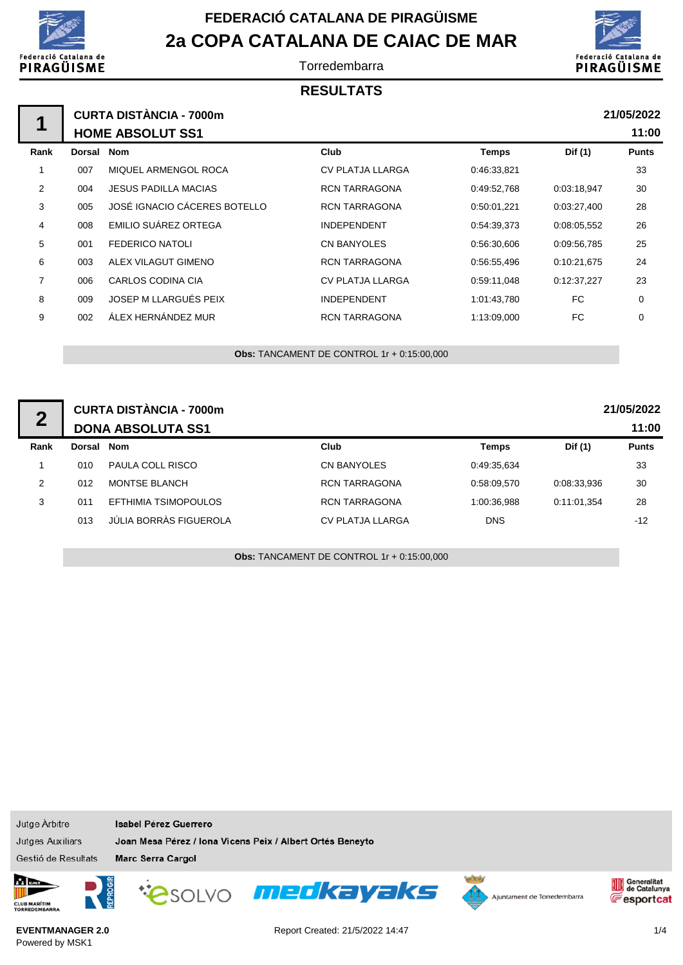

### **2a COPA CATALANA DE CAIAC DE MAR FEDERACIÓ CATALANA DE PIRAGÜISME**

Torredembarra



#### **RESULTATS**

| <b>CURTA DISTÀNCIA - 7000m</b> |
|--------------------------------|
| <b>HOME ABSOLUT SS1</b>        |

| 1    |        | <b>CURTA DISTÀNCIA - 7000m</b> |                         |              |             | 21/05/2022   |
|------|--------|--------------------------------|-------------------------|--------------|-------------|--------------|
|      |        | <b>HOME ABSOLUT SS1</b>        |                         |              |             | 11:00        |
| Rank | Dorsal | <b>Nom</b>                     | Club                    | <b>Temps</b> | Dif (1)     | <b>Punts</b> |
|      | 007    | MIQUEL ARMENGOL ROCA           | <b>CV PLATJA LLARGA</b> | 0:46:33,821  |             | 33           |
| 2    | 004    | <b>JESUS PADILLA MACIAS</b>    | <b>RCN TARRAGONA</b>    | 0:49:52,768  | 0:03:18,947 | 30           |
| 3    | 005    | JOSÉ IGNACIO CÁCERES BOTELLO   | <b>RCN TARRAGONA</b>    | 0:50:01.221  | 0:03:27,400 | 28           |
| 4    | 008    | EMILIO SUÁREZ ORTEGA           | <b>INDEPENDENT</b>      | 0:54:39,373  | 0:08:05.552 | 26           |
| 5    | 001    | <b>FEDERICO NATOLI</b>         | <b>CN BANYOLES</b>      | 0.56.30,606  | 0:09:56,785 | 25           |
| 6    | 003    | ALEX VILAGUT GIMENO            | <b>RCN TARRAGONA</b>    | 0:56:55,496  | 0:10:21,675 | 24           |
| 7    | 006    | CARLOS CODINA CIA              | <b>CV PLATJA LLARGA</b> | 0:59:11,048  | 0.12:37,227 | 23           |
| 8    | 009    | JOSEP M LLARGUÉS PEIX          | <b>INDEPENDENT</b>      | 1:01:43,780  | <b>FC</b>   | 0            |
| 9    | 002    | ÁLEX HERNÁNDEZ MUR             | <b>RCN TARRAGONA</b>    | 1:13:09,000  | FC          | 0            |
|      |        |                                |                         |              |             |              |

**Obs:** TANCAMENT DE CONTROL 1r + 0:15:00,000

| $\boldsymbol{2}$ |            | <b>CURTA DISTÀNCIA - 7000m</b> |                      |             |             | 21/05/2022   |
|------------------|------------|--------------------------------|----------------------|-------------|-------------|--------------|
|                  |            | <b>DONA ABSOLUTA SS1</b>       |                      |             |             | 11:00        |
| Rank             | Dorsal Nom |                                | Club                 | Temps       | Dif (1)     | <b>Punts</b> |
|                  | 010        | PAULA COLL RISCO               | <b>CN BANYOLES</b>   | 0:49:35.634 |             | 33           |
| 2                | 012        | MONTSE BLANCH                  | <b>RCN TARRAGONA</b> | 0.58.09,570 | 0.08.33,936 | 30           |
| 3                | 011        | EFTHIMIA TSIMOPOULOS           | <b>RCN TARRAGONA</b> | 1:00:36,988 | 0:11:01.354 | 28           |
|                  | 013        | JÚLIA BORRÁS FIGUEROLA         | CV PLATJA LLARGA     | <b>DNS</b>  |             | $-12$        |
|                  |            |                                |                      |             |             |              |

**Obs:** TANCAMENT DE CONTROL 1r + 0:15:00,000

Jutge Arbitre Jutges Auxiliars Isabel Pérez Guerrero

Joan Mesa Pérez / Iona Vicens Peix / Albert Ortés Beneyto

Gestió de Resultats

Marc Serra Cargol



Powered by MSK1





**e**souvo medkayaks

Ajuntament de Torredembarra

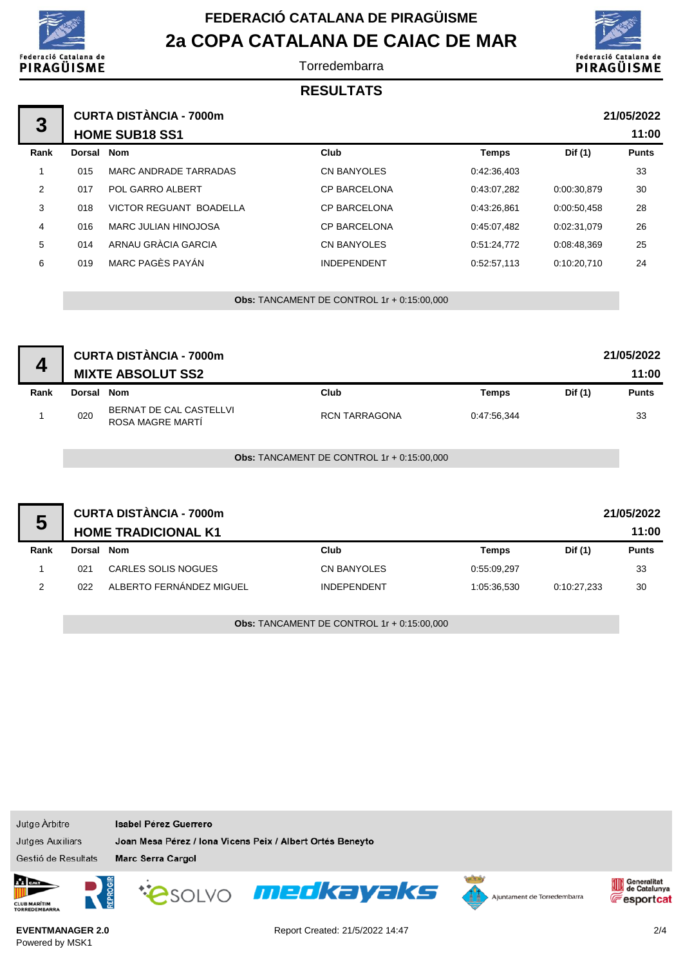

## **2a COPA CATALANA DE CAIAC DE MAR FEDERACIÓ CATALANA DE PIRAGÜISME**

Torredembarra



#### **RESULTATS**

| 3    |            | <b>CURTA DISTÀNCIA - 7000m</b> |                     |              |             | 21/05/2022   |
|------|------------|--------------------------------|---------------------|--------------|-------------|--------------|
|      |            | <b>HOME SUB18 SS1</b>          |                     |              |             | 11:00        |
| Rank | Dorsal Nom |                                | Club                | <b>Temps</b> | Dif (1)     | <b>Punts</b> |
|      | 015        | MARC ANDRADE TARRADAS          | CN BANYOLES         | 0:42:36,403  |             | 33           |
| 2    | 017        | POL GARRO ALBERT               | <b>CP BARCELONA</b> | 0:43:07.282  | 0:00:30.879 | 30           |
| 3    | 018        | VICTOR REGUANT BOADELLA        | <b>CP BARCELONA</b> | 0:43:26.861  | 0:00:50.458 | 28           |
| 4    | 016        | <b>MARC JULIAN HINOJOSA</b>    | <b>CP BARCELONA</b> | 0:45:07.482  | 0:02:31.079 | 26           |
| 5    | 014        | ARNAU GRÀCIA GARCIA            | CN BANYOLES         | 0:51:24.772  | 0:08:48.369 | 25           |
| 6    | 019        | MARC PAGÈS PAYÁN               | <b>INDEPENDENT</b>  | 0:52:57.113  | 0:10:20.710 | 24           |

**Obs:** TANCAMENT DE CONTROL 1r + 0:15:00,000

| $\mathbf{\mathcal{L}}$ | <b>CURTA DISTÀNCIA - 7000m</b><br><b>MIXTE ABSOLUT SS2</b> |                                             |                      |             |         | 21/05/2022<br>11:00 |
|------------------------|------------------------------------------------------------|---------------------------------------------|----------------------|-------------|---------|---------------------|
| Rank                   | Dorsal Nom                                                 |                                             | Club                 | Temps       | Dif (1) | <b>Punts</b>        |
|                        | 020                                                        | BERNAT DE CAL CASTELLVI<br>ROSA MAGRE MARTÍ | <b>RCN TARRAGONA</b> | 0:47:56.344 |         | 33                  |

**Obs:** TANCAMENT DE CONTROL 1r + 0:15:00,000

| IJ   |        | <b>CURTA DISTÀNCIA - 7000m</b><br><b>HOME TRADICIONAL K1</b> |                    |             |             | 21/05/2022<br>11:00 |
|------|--------|--------------------------------------------------------------|--------------------|-------------|-------------|---------------------|
| Rank | Dorsal | Nom                                                          | Club               | Temps       | Dif (1)     | <b>Punts</b>        |
|      | 021    | CARLES SOLIS NOGUES                                          | CN BANYOLES        | 0:55:09.297 |             | 33                  |
| ົ    | 022    | ALBERTO FERNANDEZ MIGUEL                                     | <b>INDEPENDENT</b> | 1:05:36.530 | 0:10:27.233 | 30                  |
|      |        |                                                              |                    |             |             |                     |

**Obs:** TANCAMENT DE CONTROL 1r + 0:15:00,000



**EVENTMANAGER 2.0** Powered by MSK1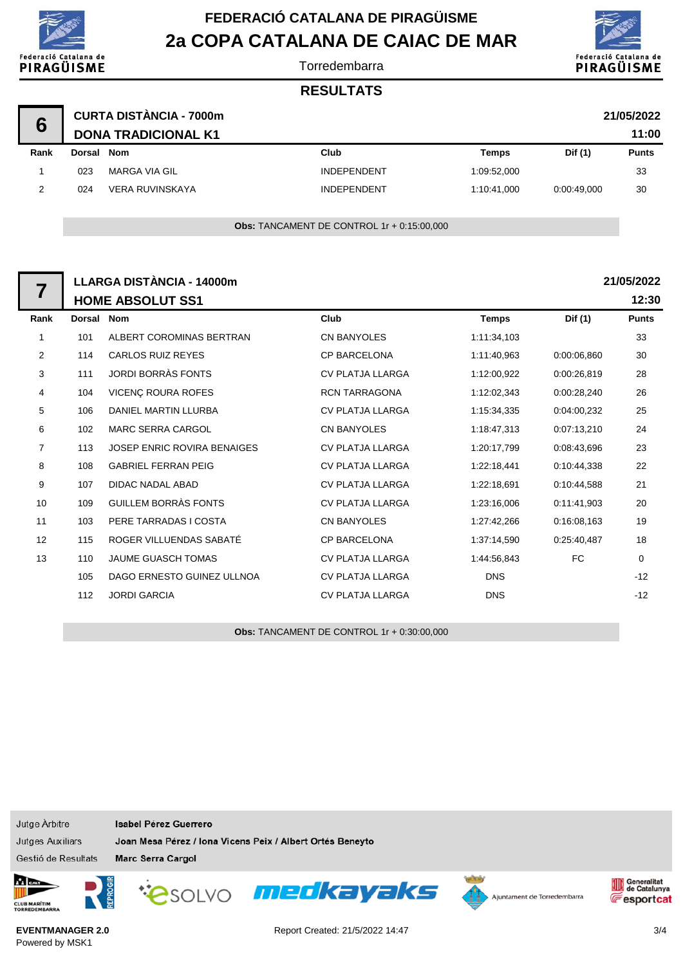

## **2a COPA CATALANA DE CAIAC DE MAR FEDERACIÓ CATALANA DE PIRAGÜISME**

Torredembarra



#### **RESULTATS**

| c<br>O |            | <b>CURTA DISTÀNCIA - 7000m</b><br><b>DONA TRADICIONAL K1</b> |                    |             |             | 21/05/2022<br>11:00 |
|--------|------------|--------------------------------------------------------------|--------------------|-------------|-------------|---------------------|
| Rank   | Dorsal Nom |                                                              | Club               | Temps       | Dif (1)     | <b>Punts</b>        |
|        | 023        | MARGA VIA GIL                                                | <b>INDEPENDENT</b> | 1:09:52.000 |             | 33                  |
| っ      | 024        | VERA RUVINSKAYA                                              | <b>INDEPENDENT</b> | 1:10:41.000 | 0:00:49.000 | 30                  |

**Obs:** TANCAMENT DE CONTROL 1r + 0:15:00,000

|                |            | LLARGA DISTÀNCIA - 14000m   |                         |              |             | 21/05/2022   |
|----------------|------------|-----------------------------|-------------------------|--------------|-------------|--------------|
|                |            | <b>HOME ABSOLUT SS1</b>     |                         |              |             | 12:30        |
| Rank           | Dorsal Nom |                             | Club                    | <b>Temps</b> | Dif (1)     | <b>Punts</b> |
| 1              | 101        | ALBERT COROMINAS BERTRAN    | <b>CN BANYOLES</b>      | 1:11:34,103  |             | 33           |
| $\overline{2}$ | 114        | <b>CARLOS RUIZ REYES</b>    | <b>CP BARCELONA</b>     | 1:11:40,963  | 0:00:06,860 | 30           |
| 3              | 111        | <b>JORDI BORRÀS FONTS</b>   | <b>CV PLATJA LLARGA</b> | 1:12:00,922  | 0:00:26,819 | 28           |
| 4              | 104        | <b>VICENÇ ROURA ROFES</b>   | <b>RCN TARRAGONA</b>    | 1:12:02,343  | 0:00:28,240 | 26           |
| 5              | 106        | DANIEL MARTIN LLURBA        | <b>CV PLATJA LLARGA</b> | 1:15:34,335  | 0:04:00,232 | 25           |
| 6              | 102        | MARC SERRA CARGOL           | <b>CN BANYOLES</b>      | 1:18:47,313  | 0:07:13,210 | 24           |
| 7              | 113        | JOSEP ENRIC ROVIRA BENAIGES | <b>CV PLATJA LLARGA</b> | 1:20:17,799  | 0:08:43,696 | 23           |
| 8              | 108        | <b>GABRIEL FERRAN PEIG</b>  | <b>CV PLATJA LLARGA</b> | 1:22:18,441  | 0.10:44,338 | 22           |
| 9              | 107        | DIDAC NADAL ABAD            | <b>CV PLATJA LLARGA</b> | 1:22:18,691  | 0.10:44.588 | 21           |
| 10             | 109        | GUILLEM BORRÀS FONTS        | <b>CV PLATJA LLARGA</b> | 1:23:16,006  | 0:11:41.903 | 20           |
| 11             | 103        | PERE TARRADAS I COSTA       | <b>CN BANYOLES</b>      | 1:27:42,266  | 0.16:08.163 | 19           |
| 12             | 115        | ROGER VILLUENDAS SABATÉ     | <b>CP BARCELONA</b>     | 1:37:14,590  | 0.25:40,487 | 18           |
| 13             | 110        | <b>JAUME GUASCH TOMAS</b>   | <b>CV PLATJA LLARGA</b> | 1:44:56,843  | FC          | 0            |
|                | 105        | DAGO ERNESTO GUINEZ ULLNOA  | <b>CV PLATJA LLARGA</b> | <b>DNS</b>   |             | $-12$        |
|                | 112        | <b>JORDI GARCIA</b>         | <b>CV PLATJA LLARGA</b> | <b>DNS</b>   |             | $-12$        |

**Obs:** TANCAMENT DE CONTROL 1r + 0:30:00,000

Jutge Arbitre Jutges Auxiliars Isabel Pérez Guerrero

Joan Mesa Pérez / Iona Vicens Peix / Albert Ortés Beneyto

Gestió de Resultats

Marc Serra Cargol











**EVENTMANAGER 2.0** Powered by MSK1